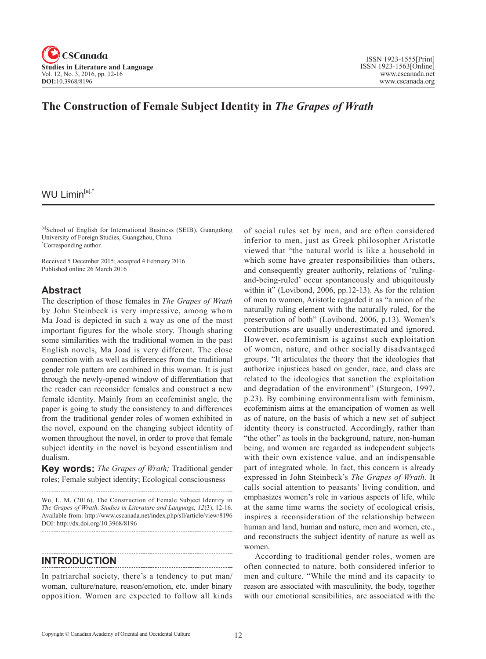

## **The Construction of Female Subject Identity in** *The Grapes of Wrath*

### WU Limin<sup>[a],\*</sup>

[a]School of English for International Business (SEIB), Guangdong University of Foreign Studies, Guangzhou, China. \* Corresponding author.

Received 5 December 2015; accepted 4 February 2016 Published online 26 March 2016

#### **Abstract**

The description of those females in *The Grapes of Wrath* by John Steinbeck is very impressive, among whom Ma Joad is depicted in such a way as one of the most important figures for the whole story. Though sharing some similarities with the traditional women in the past English novels, Ma Joad is very different. The close connection with as well as differences from the traditional gender role pattern are combined in this woman. It is just through the newly-opened window of differentiation that the reader can reconsider females and construct a new female identity. Mainly from an ecofeminist angle, the paper is going to study the consistency to and differences from the traditional gender roles of women exhibited in the novel, expound on the changing subject identity of women throughout the novel, in order to prove that female subject identity in the novel is beyond essentialism and dualism.

**Key words:** *The Grapes of Wrath;* Traditional gender roles; Female subject identity; Ecological consciousness

Wu, L. M. (2016). The Construction of Female Subject Identity in *The Grapes of Wrath*. *Studies in Literature and Language*, <sup>12</sup>(3), 12-16. Available from: http://www.cscanada.net/index.php/sll/article/view/8196 DOI: http://dx.doi.org/10.3968/8196

### **INTRODUCTION**

In patriarchal society, there's a tendency to put man/ woman, culture/nature, reason/emotion, etc. under binary opposition. Women are expected to follow all kinds of social rules set by men, and are often considered inferior to men, just as Greek philosopher Aristotle viewed that "the natural world is like a household in which some have greater responsibilities than others, and consequently greater authority, relations of 'rulingand-being-ruled' occur spontaneously and ubiquitously within it" (Lovibond, 2006, pp.12-13). As for the relation of men to women, Aristotle regarded it as "a union of the naturally ruling element with the naturally ruled, for the preservation of both" (Lovibond, 2006, p.13). Women's contributions are usually underestimated and ignored. However, ecofeminism is against such exploitation of women, nature, and other socially disadvantaged groups. "It articulates the theory that the ideologies that authorize injustices based on gender, race, and class are related to the ideologies that sanction the exploitation and degradation of the environment" (Sturgeon, 1997, p.23). By combining environmentalism with feminism, ecofeminism aims at the emancipation of women as well as of nature, on the basis of which a new set of subject identity theory is constructed. Accordingly, rather than "the other" as tools in the background, nature, non-human being, and women are regarded as independent subjects with their own existence value, and an indispensable part of integrated whole. In fact, this concern is already expressed in John Steinbeck's *The Grapes of Wrath.* It calls social attention to peasants' living condition, and emphasizes women's role in various aspects of life, while at the same time warns the society of ecological crisis, inspires a reconsideration of the relationship between human and land, human and nature, men and women, etc., and reconstructs the subject identity of nature as well as women.

According to traditional gender roles, women are often connected to nature, both considered inferior to men and culture. "While the mind and its capacity to reason are associated with masculinity, the body, together with our emotional sensibilities, are associated with the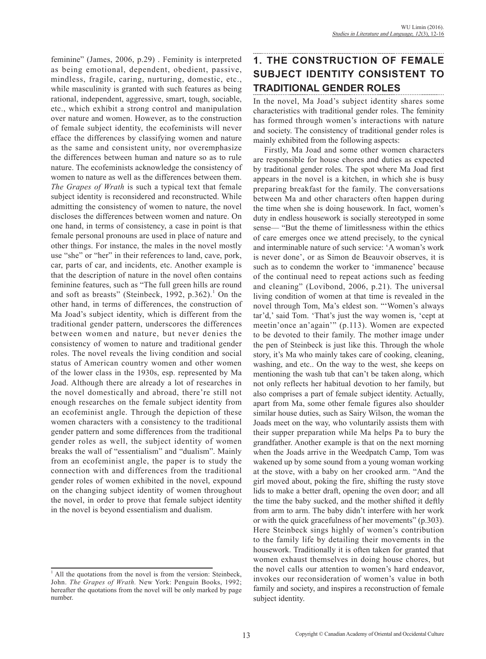feminine" (James, 2006, p.29) . Feminity is interpreted as being emotional, dependent, obedient, passive, mindless, fragile, caring, nurturing, domestic, etc., while masculinity is granted with such features as being rational, independent, aggressive, smart, tough, sociable, etc., which exhibit a strong control and manipulation over nature and women. However, as to the construction of female subject identity, the ecofeminists will never efface the differences by classifying women and nature as the same and consistent unity, nor overemphasize the differences between human and nature so as to rule nature. The ecofeminists acknowledge the consistency of women to nature as well as the differences between them. *The Grapes of Wrath* is such a typical text that female subject identity is reconsidered and reconstructed. While admitting the consistency of women to nature, the novel discloses the differences between women and nature. On one hand, in terms of consistency, a case in point is that female personal pronouns are used in place of nature and other things. For instance, the males in the novel mostly use "she" or "her" in their references to land, cave, pork, car, parts of car, and incidents, etc. Another example is that the description of nature in the novel often contains feminine features, such as "The full green hills are round and soft as breasts" (Steinbeck, 1992,  $p.362$ ).<sup>1</sup> On the other hand, in terms of differences, the construction of Ma Joad's subject identity, which is different from the traditional gender pattern, underscores the differences between women and nature, but never denies the consistency of women to nature and traditional gender roles. The novel reveals the living condition and social status of American country women and other women of the lower class in the 1930s, esp. represented by Ma Joad. Although there are already a lot of researches in the novel domestically and abroad, there're still not enough researches on the female subject identity from an ecofeminist angle. Through the depiction of these women characters with a consistency to the traditional gender pattern and some differences from the traditional gender roles as well, the subject identity of women breaks the wall of "essentialism" and "dualism". Mainly from an ecofeminist angle, the paper is to study the connection with and differences from the traditional gender roles of women exhibited in the novel, expound on the changing subject identity of women throughout the novel, in order to prove that female subject identity in the novel is beyond essentialism and dualism.

# **1. THE CONSTRUCTION OF FEMALE SUBJECT IDENTITY CONSISTENT TO TRADITIONAL GENDER ROLES**

In the novel, Ma Joad's subject identity shares some characteristics with traditional gender roles. The feminity has formed through women's interactions with nature and society. The consistency of traditional gender roles is mainly exhibited from the following aspects:

Firstly, Ma Joad and some other women characters are responsible for house chores and duties as expected by traditional gender roles. The spot where Ma Joad first appears in the novel is a kitchen, in which she is busy preparing breakfast for the family. The conversations between Ma and other characters often happen during the time when she is doing housework. In fact, women's duty in endless housework is socially stereotyped in some sense— "But the theme of limitlessness within the ethics of care emerges once we attend precisely, to the cynical and interminable nature of such service: 'A woman's work is never done', or as Simon de Beauvoir observes, it is such as to condemn the worker to 'immanence' because of the continual need to repeat actions such as feeding and cleaning" (Lovibond, 2006, p.21). The universal living condition of women at that time is revealed in the novel through Tom, Ma's eldest son. "'Women's always tar'd,' said Tom. 'That's just the way women is, 'cept at meetin'once an'again'" (p.113). Women are expected to be devoted to their family. The mother image under the pen of Steinbeck is just like this. Through the whole story, it's Ma who mainly takes care of cooking, cleaning, washing, and etc.. On the way to the west, she keeps on mentioning the wash tub that can't be taken along, which not only reflects her habitual devotion to her family, but also comprises a part of female subject identity. Actually, apart from Ma, some other female figures also shoulder similar house duties, such as Sairy Wilson, the woman the Joads meet on the way, who voluntarily assists them with their supper preparation while Ma helps Pa to bury the grandfather. Another example is that on the next morning when the Joads arrive in the Weedpatch Camp, Tom was wakened up by some sound from a young woman working at the stove, with a baby on her crooked arm. "And the girl moved about, poking the fire, shifting the rusty stove lids to make a better draft, opening the oven door; and all the time the baby sucked, and the mother shifted it deftly from arm to arm. The baby didn't interfere with her work or with the quick gracefulness of her movements" (p.303). Here Steinbeck sings highly of women's contribution to the family life by detailing their movements in the housework. Traditionally it is often taken for granted that women exhaust themselves in doing house chores, but the novel calls our attention to women's hard endeavor, invokes our reconsideration of women's value in both family and society, and inspires a reconstruction of female subject identity.

 $<sup>1</sup>$  All the quotations from the novel is from the version: Steinbeck,</sup> John. *The Grapes of Wrath.* New York: Penguin Books, 1992; hereafter the quotations from the novel will be only marked by page number.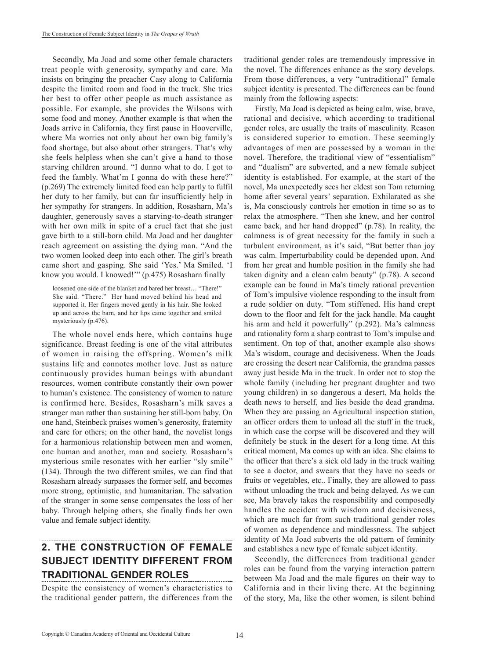Secondly, Ma Joad and some other female characters treat people with generosity, sympathy and care. Ma insists on bringing the preacher Casy along to California despite the limited room and food in the truck. She tries her best to offer other people as much assistance as possible. For example, she provides the Wilsons with some food and money. Another example is that when the Joads arrive in California, they first pause in Hooverville, where Ma worries not only about her own big family's food shortage, but also about other strangers. That's why she feels helpless when she can't give a hand to those starving children around. "I dunno what to do. I got to feed the fambly. What'm I gonna do with these here?" (p.269) The extremely limited food can help partly to fulfil her duty to her family, but can far insufficiently help in her sympathy for strangers. In addition, Rosasharn, Ma's daughter, generously saves a starving-to-death stranger with her own milk in spite of a cruel fact that she just gave birth to a still-born child. Ma Joad and her daughter reach agreement on assisting the dying man. "And the two women looked deep into each other. The girl's breath came short and gasping. She said 'Yes.' Ma Smiled. 'I know you would. I knowed!'" (p.475) Rosasharn finally

loosened one side of the blanket and bared her breast… "There!" She said. "There." Her hand moved behind his head and supported it. Her fingers moved gently in his hair. She looked up and across the barn, and her lips came together and smiled mysteriously (p.476).

The whole novel ends here, which contains huge significance. Breast feeding is one of the vital attributes of women in raising the offspring. Women's milk sustains life and connotes mother love. Just as nature continuously provides human beings with abundant resources, women contribute constantly their own power to human's existence. The consistency of women to nature is confirmed here. Besides, Rosasharn's milk saves a stranger man rather than sustaining her still-born baby. On one hand, Steinbeck praises women's generosity, fraternity and care for others; on the other hand, the novelist longs for a harmonious relationship between men and women, one human and another, man and society. Rosasharn's mysterious smile resonates with her earlier "sly smile" (134). Through the two different smiles, we can find that Rosasharn already surpasses the former self, and becomes more strong, optimistic, and humanitarian. The salvation of the stranger in some sense compensates the loss of her baby. Through helping others, she finally finds her own value and female subject identity.

## **2. THE CONSTRUCTION OF FEMALE SUBJECT IDENTITY DIFFERENT FROM TRADITIONAL GENDER ROLES**

Despite the consistency of women's characteristics to the traditional gender pattern, the differences from the traditional gender roles are tremendously impressive in the novel. The differences enhance as the story develops. From those differences, a very "untraditional" female subject identity is presented. The differences can be found mainly from the following aspects:

Firstly, Ma Joad is depicted as being calm, wise, brave, rational and decisive, which according to traditional gender roles, are usually the traits of masculinity. Reason is considered superior to emotion. These seemingly advantages of men are possessed by a woman in the novel. Therefore, the traditional view of "essentialism" and "dualism" are subverted, and a new female subject identity is established. For example, at the start of the novel, Ma unexpectedly sees her eldest son Tom returning home after several years' separation. Exhilarated as she is, Ma consciously controls her emotion in time so as to relax the atmosphere. "Then she knew, and her control came back, and her hand dropped" (p.78). In reality, the calmness is of great necessity for the family in such a turbulent environment, as it's said, "But better than joy was calm. Imperturbability could be depended upon. And from her great and humble position in the family she had taken dignity and a clean calm beauty" (p.78). A second example can be found in Ma's timely rational prevention of Tom's impulsive violence responding to the insult from a rude soldier on duty. "Tom stiffened. His hand crept down to the floor and felt for the jack handle. Ma caught his arm and held it powerfully" (p.292). Ma's calmness and rationality form a sharp contrast to Tom's impulse and sentiment. On top of that, another example also shows Ma's wisdom, courage and decisiveness. When the Joads are crossing the desert near California, the grandma passes away just beside Ma in the truck. In order not to stop the whole family (including her pregnant daughter and two young children) in so dangerous a desert, Ma holds the death news to herself, and lies beside the dead grandma. When they are passing an Agricultural inspection station, an officer orders them to unload all the stuff in the truck, in which case the corpse will be discovered and they will definitely be stuck in the desert for a long time. At this critical moment, Ma comes up with an idea. She claims to the officer that there's a sick old lady in the truck waiting to see a doctor, and swears that they have no seeds or fruits or vegetables, etc.. Finally, they are allowed to pass without unloading the truck and being delayed. As we can see, Ma bravely takes the responsibility and composedly handles the accident with wisdom and decisiveness, which are much far from such traditional gender roles of women as dependence and mindlessness. The subject identity of Ma Joad subverts the old pattern of feminity and establishes a new type of female subject identity.

Secondly, the differences from traditional gender roles can be found from the varying interaction pattern between Ma Joad and the male figures on their way to California and in their living there. At the beginning of the story, Ma, like the other women, is silent behind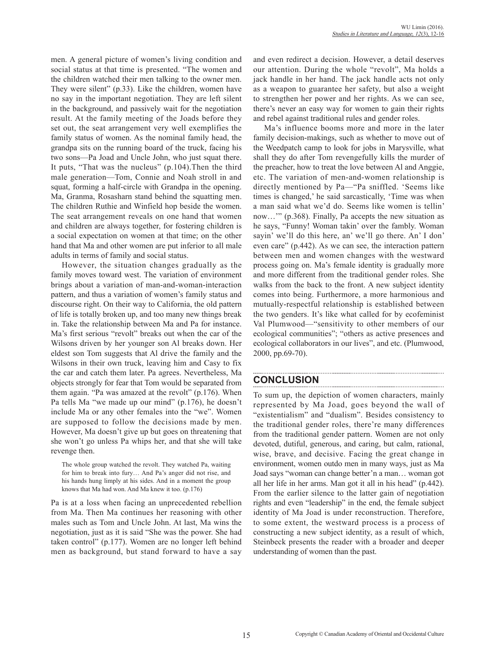men. A general picture of women's living condition and social status at that time is presented. "The women and the children watched their men talking to the owner men. They were silent" (p.33). Like the children, women have no say in the important negotiation. They are left silent in the background, and passively wait for the negotiation result. At the family meeting of the Joads before they set out, the seat arrangement very well exemplifies the family status of women. As the nominal family head, the grandpa sits on the running board of the truck, facing his two sons—Pa Joad and Uncle John, who just squat there. It puts, "That was the nucleus" (p.104).Then the third male generation—Tom, Connie and Noah stroll in and squat, forming a half-circle with Grandpa in the opening. Ma, Granma, Rosasharn stand behind the squatting men. The children Ruthie and Winfield hop beside the women. The seat arrangement reveals on one hand that women and children are always together, for fostering children is a social expectation on women at that time; on the other hand that Ma and other women are put inferior to all male adults in terms of family and social status.

However, the situation changes gradually as the family moves toward west. The variation of environment brings about a variation of man-and-woman-interaction pattern, and thus a variation of women's family status and discourse right. On their way to California, the old pattern of life is totally broken up, and too many new things break in. Take the relationship between Ma and Pa for instance. Ma's first serious "revolt" breaks out when the car of the Wilsons driven by her younger son Al breaks down. Her eldest son Tom suggests that Al drive the family and the Wilsons in their own truck, leaving him and Casy to fix the car and catch them later. Pa agrees. Nevertheless, Ma objects strongly for fear that Tom would be separated from them again. "Pa was amazed at the revolt" (p.176). When Pa tells Ma "we made up our mind" (p.176), he doesn't include Ma or any other females into the "we". Women are supposed to follow the decisions made by men. However, Ma doesn't give up but goes on threatening that she won't go unless Pa whips her, and that she will take revenge then.

The whole group watched the revolt. They watched Pa, waiting for him to break into fury… And Pa's anger did not rise, and his hands hung limply at his sides. And in a moment the group knows that Ma had won. And Ma knew it too. (p.176)

Pa is at a loss when facing an unprecedented rebellion from Ma. Then Ma continues her reasoning with other males such as Tom and Uncle John. At last, Ma wins the negotiation, just as it is said "She was the power. She had taken control" (p.177). Women are no longer left behind men as background, but stand forward to have a say and even redirect a decision. However, a detail deserves our attention. During the whole "revolt", Ma holds a jack handle in her hand. The jack handle acts not only as a weapon to guarantee her safety, but also a weight to strengthen her power and her rights. As we can see, there's never an easy way for women to gain their rights and rebel against traditional rules and gender roles.

Ma's influence booms more and more in the later family decision-makings, such as whether to move out of the Weedpatch camp to look for jobs in Marysville, what shall they do after Tom revengefully kills the murder of the preacher, how to treat the love between Al and Anggie, etc. The variation of men-and-women relationship is directly mentioned by Pa—"Pa sniffled. 'Seems like times is changed,' he said sarcastically, 'Time was when a man said what we'd do. Seems like women is tellin' now…'" (p.368). Finally, Pa accepts the new situation as he says, "Funny! Woman takin' over the fambly. Woman sayin' we'll do this here, an' we'll go there. An' I don' even care" (p.442). As we can see, the interaction pattern between men and women changes with the westward process going on. Ma's female identity is gradually more and more different from the traditional gender roles. She walks from the back to the front. A new subject identity comes into being. Furthermore, a more harmonious and mutually-respectful relationship is established between the two genders. It's like what called for by ecofeminist Val Plumwood—"sensitivity to other members of our ecological communities"; "others as active presences and ecological collaborators in our lives", and etc. (Plumwood, 2000, pp.69-70).

### **CONCLUSION**

To sum up, the depiction of women characters, mainly represented by Ma Joad, goes beyond the wall of "existentialism" and "dualism". Besides consistency to the traditional gender roles, there're many differences from the traditional gender pattern. Women are not only devoted, dutiful, generous, and caring, but calm, rational, wise, brave, and decisive. Facing the great change in environment, women outdo men in many ways, just as Ma Joad says "woman can change better'n a man… woman got all her life in her arms. Man got it all in his head" (p.442). From the earlier silence to the latter gain of negotiation rights and even "leadership" in the end, the female subject identity of Ma Joad is under reconstruction. Therefore, to some extent, the westward process is a process of constructing a new subject identity, as a result of which, Steinbeck presents the reader with a broader and deeper understanding of women than the past.